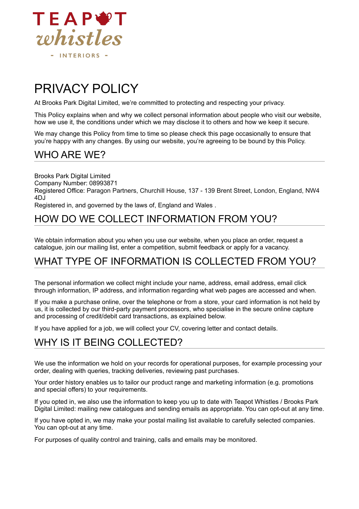

# PRIVACY POLICY

At Brooks Park Digital Limited, we're committed to protecting and respecting your privacy.

This Policy explains when and why we collect personal information about people who visit our website, how we use it, the conditions under which we may disclose it to others and how we keep it secure.

We may change this Policy from time to time so please check this page occasionally to ensure that you're happy with any changes. By using our website, you're agreeing to be bound by this Policy.

#### WHO ARE WE?

Brooks Park Digital Limited Company Number: 08993871 Registered Office: Paragon Partners, Churchill House, 137 - 139 Brent Street, London, England, NW4 4DJ

Registered in, and governed by the laws of, England and Wales .

#### HOW DO WE COLLECT INFORMATION FROM YOU?

We obtain information about you when you use our website, when you place an order, request a catalogue, join our mailing list, enter a competition, submit feedback or apply for a vacancy.

## WHAT TYPE OF INFORMATION IS COLLECTED FROM YOU?

The personal information we collect might include your name, address, email address, email click through information, IP address, and information regarding what web pages are accessed and when.

If you make a purchase online, over the telephone or from a store, your card information is not held by us, it is collected by our third-party payment processors, who specialise in the secure online capture and processing of credit/debit card transactions, as explained below.

If you have applied for a job, we will collect your CV, covering letter and contact details.

# WHY IS IT BEING COLLECTED?

We use the information we hold on your records for operational purposes, for example processing your order, dealing with queries, tracking deliveries, reviewing past purchases.

Your order history enables us to tailor our product range and marketing information (e.g. promotions and special offers) to your requirements.

If you opted in, we also use the information to keep you up to date with Teapot Whistles / Brooks Park Digital Limited: mailing new catalogues and sending emails as appropriate. You can opt-out at any time.

If you have opted in, we may make your postal mailing list available to carefully selected companies. You can opt-out at any time.

For purposes of quality control and training, calls and emails may be monitored.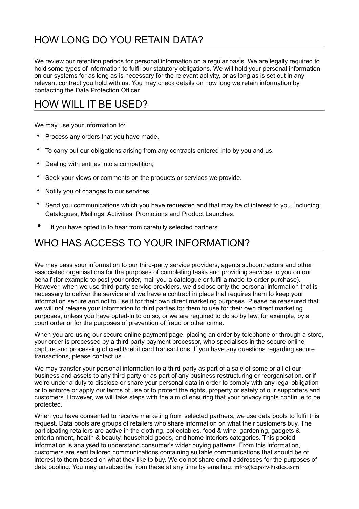# HOW LONG DO YOU RETAIN DATA?

We review our retention periods for personal information on a regular basis. We are legally required to hold some types of information to fulfil our statutory obligations. We will hold your personal information on our systems for as long as is necessary for the relevant activity, or as long as is set out in any relevant contract you hold with us. You may check details on how long we retain information by contacting the Data Protection Officer.

## HOW WILL IT BE USED?

We may use your information to:

- Process any orders that you have made.
- To carry out our obligations arising from any contracts entered into by you and us.
- Dealing with entries into a competition;
- Seek your views or comments on the products or services we provide.
- Notify you of changes to our services;
- Send you communications which you have requested and that may be of interest to you, including: Catalogues, Mailings, Activities, Promotions and Product Launches.
- If you have opted in to hear from carefully selected partners.

## WHO HAS ACCESS TO YOUR INFORMATION?

We may pass your information to our third-party service providers, agents subcontractors and other associated organisations for the purposes of completing tasks and providing services to you on our behalf (for example to post your order, mail you a catalogue or fulfil a made-to-order purchase). However, when we use third-party service providers, we disclose only the personal information that is necessary to deliver the service and we have a contract in place that requires them to keep your information secure and not to use it for their own direct marketing purposes. Please be reassured that we will not release your information to third parties for them to use for their own direct marketing purposes, unless you have opted-in to do so, or we are required to do so by law, for example, by a court order or for the purposes of prevention of fraud or other crime.

When you are using our secure online payment page, placing an order by telephone or through a store, your order is processed by a third-party payment processor, who specialises in the secure online capture and processing of credit/debit card transactions. If you have any questions regarding secure transactions, please contact us.

We may transfer your personal information to a third-party as part of a sale of some or all of our business and assets to any third-party or as part of any business restructuring or reorganisation, or if we're under a duty to disclose or share your personal data in order to comply with any legal obligation or to enforce or apply our terms of use or to protect the rights, property or safety of our supporters and customers. However, we will take steps with the aim of ensuring that your privacy rights continue to be protected.

When you have consented to receive marketing from selected partners, we use data pools to fulfil this request. Data pools are groups of retailers who share information on what their customers buy. The participating retailers are active in the clothing, collectables, food & wine, gardening, gadgets & entertainment, health & beauty, household goods, and home interiors categories. This pooled information is analysed to understand consumer's wider buying patterns. From this information, customers are sent tailored communications containing suitable communications that should be of interest to them based on what they like to buy. We do not share email addresses for the purposes of data pooling. You may unsubscribe from these at any time by emailing: info@teapotwhistles.com.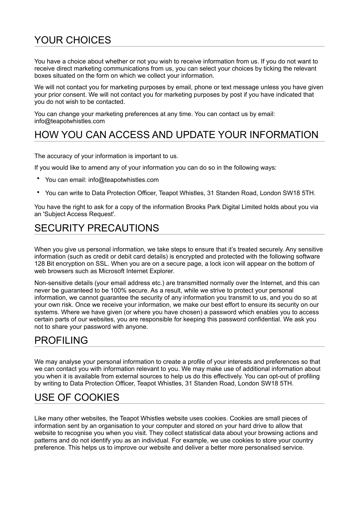# YOUR CHOICES

You have a choice about whether or not you wish to receive information from us. If you do not want to receive direct marketing communications from us, you can select your choices by ticking the relevant boxes situated on the form on which we collect your information.

We will not contact you for marketing purposes by email, phone or text message unless you have given your prior consent. We will not contact you for marketing purposes by post if you have indicated that you do not wish to be contacted.

You can change your marketing preferences at any time. You can contact us by email: info@teapotwhistles.com

## HOW YOU CAN ACCESS AND UPDATE YOUR INFORMATION

The accuracy of your information is important to us.

If you would like to amend any of your information you can do so in the following ways:

- You can email: info@teapotwhistles.com
- You can write to Data Protection Officer, Teapot Whistles, 31 Standen Road, London SW18 5TH.

You have the right to ask for a copy of the information Brooks Park Digital Limited holds about you via an 'Subject Access Request'.

## SECURITY PRECAUTIONS

When you give us personal information, we take steps to ensure that it's treated securely. Any sensitive information (such as credit or debit card details) is encrypted and protected with the following software 128 Bit encryption on SSL. When you are on a secure page, a lock icon will appear on the bottom of web browsers such as Microsoft Internet Explorer.

Non-sensitive details (your email address etc.) are transmitted normally over the Internet, and this can never be guaranteed to be 100% secure. As a result, while we strive to protect your personal information, we cannot guarantee the security of any information you transmit to us, and you do so at your own risk. Once we receive your information, we make our best effort to ensure its security on our systems. Where we have given (or where you have chosen) a password which enables you to access certain parts of our websites, you are responsible for keeping this password confidential. We ask you not to share your password with anyone.

#### PROFILING

We may analyse your personal information to create a profile of your interests and preferences so that we can contact you with information relevant to you. We may make use of additional information about you when it is available from external sources to help us do this effectively. You can opt-out of profiling by writing to Data Protection Officer, Teapot Whistles, 31 Standen Road, London SW18 5TH.

## USE OF COOKIES

Like many other websites, the Teapot Whistles website uses cookies. Cookies are small pieces of information sent by an organisation to your computer and stored on your hard drive to allow that website to recognise you when you visit. They collect statistical data about your browsing actions and patterns and do not identify you as an individual. For example, we use cookies to store your country preference. This helps us to improve our website and deliver a better more personalised service.